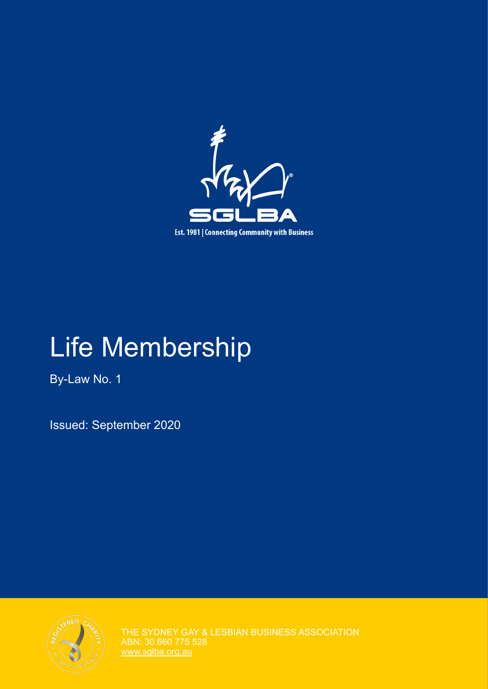

# Life Membership

By-Law No. 1

Issued: September 2020



THE SYDNEY GAY & LESBIAN BUSINESS ASSOCIATION ABN: 30 660 775 528 [www.sglba.org.au](http://www.sglba.org.au)